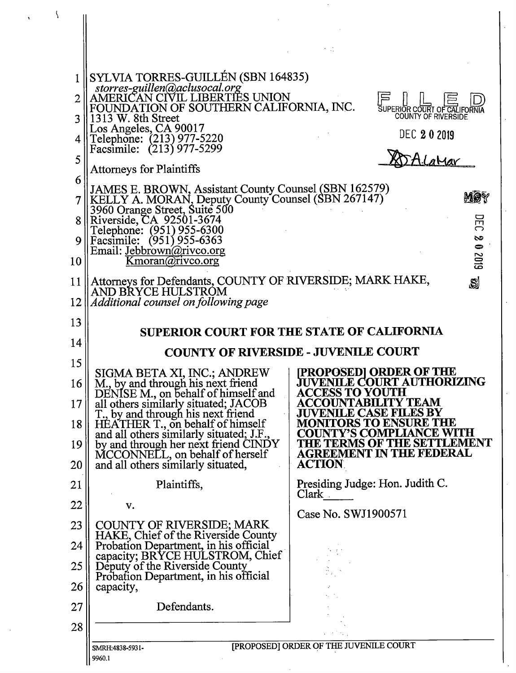|    | SYLVIA TORRES-GUILLÉN (SBN 164835)<br>storres-guillen@aclusocal.org<br>AMERICAN CIVIL LIBERTIES UNION                                                                    |                                                                    |  |
|----|--------------------------------------------------------------------------------------------------------------------------------------------------------------------------|--------------------------------------------------------------------|--|
| 3  | FOUNDATION OF SOUTHERN CALIFORNIA, INC.<br>1313 W. 8th Street                                                                                                            | SUPERIOR COURT OF CALIFORN<br><b>COUNTY OF RIVERSIDE</b>           |  |
|    | Los Angeles, CA 90017<br>Telephone: (213) 977-5220                                                                                                                       | <b>DEC 202019</b>                                                  |  |
| 5  | Facsimile: (213) 977-5299                                                                                                                                                |                                                                    |  |
| 6  | <b>Attorneys for Plaintiffs</b>                                                                                                                                          |                                                                    |  |
|    | JAMES E. BROWN, Assistant County Counsel (SBN 162579)<br>KELLY A. MORAN, Deputy County Counsel (SBN 267147)<br>3960 Orange Street, Suite 500<br>Riverside, CA 92501-3674 | MØÝ                                                                |  |
| 8  |                                                                                                                                                                          | 戸                                                                  |  |
|    | Telephone: (951) 955-6300<br>Facsimile: (951) 955-6363                                                                                                                   | S<br>$\bullet$                                                     |  |
| 10 | Email: Jebbrown@rivco.org<br><u>Kmoran@rivco.org</u>                                                                                                                     | 6102                                                               |  |
| 11 | Attorneys for Defendants, COUNTY OF RIVERSIDE; MARK HAKE,                                                                                                                | S                                                                  |  |
| 12 | AND BRYCE HULSTROM<br>Additional counsel on following page                                                                                                               |                                                                    |  |
| 13 | <b>SUPERIOR COURT FOR THE STATE OF CALIFORNIA</b>                                                                                                                        |                                                                    |  |
| 14 | <b>COUNTY OF RIVERSIDE - JUVENILE COURT</b>                                                                                                                              |                                                                    |  |
| 15 |                                                                                                                                                                          |                                                                    |  |
| 16 | SIGMA BETA XI, INC.; ANDREW<br>M, by and through his next friend                                                                                                         | <b>PROPOSED  ORDER OF THE</b><br><b>JUVENILE COURT AUTHORIZING</b> |  |
| 17 | DENISE M., on behalf of himself and<br>all others similarly situated; JACOB                                                                                              | <b>ACCESS TO YOUTH</b><br><b>ACCOUNTABILITY TEAM</b>               |  |
| 18 | T., by and through his next friend<br>HÉATHER T., on behalf of himself<br>and all others similarly situated; J.F.                                                        | <b>JUVENILE CASE FILES BY</b><br><b>MONITORS TO ENSURE THE</b>     |  |
| 19 | by and through her next friend CINDY                                                                                                                                     | <b>COUNTY'S COMPLIANCE WITH</b><br>THE TERMS OF THE SETTLEMENT     |  |
| 20 | MCCONNELL, on behalf of herself<br>and all others similarly situated,                                                                                                    | <b>AGREEMENT IN THE FEDERAL</b><br><b>ACTION</b>                   |  |
| 21 | Plaintiffs,                                                                                                                                                              | Presiding Judge: Hon. Judith C.<br>$Clark \tcdot$                  |  |
| 22 | v.                                                                                                                                                                       | Case No. SWJ1900571                                                |  |
| 23 | <b>COUNTY OF RIVERSIDE; MARK</b><br>HAKE, Chief of the Riverside County                                                                                                  |                                                                    |  |
| 24 | Probation Department, in his official<br>capacity; BRYCE HULSTROM, Chief                                                                                                 |                                                                    |  |
| 25 | Deputy of the Riverside County<br>Probation Department, in his official                                                                                                  |                                                                    |  |
| 26 | capacity,                                                                                                                                                                |                                                                    |  |
| 27 | Defendants.                                                                                                                                                              |                                                                    |  |
| 28 |                                                                                                                                                                          |                                                                    |  |
|    | [PROPOSED] ORDER OF THE JUVENILE COURT<br>SMRH:4838-5931-<br>9960.1                                                                                                      |                                                                    |  |
|    |                                                                                                                                                                          |                                                                    |  |

 $\sim$ 

 $\mathbf{r}$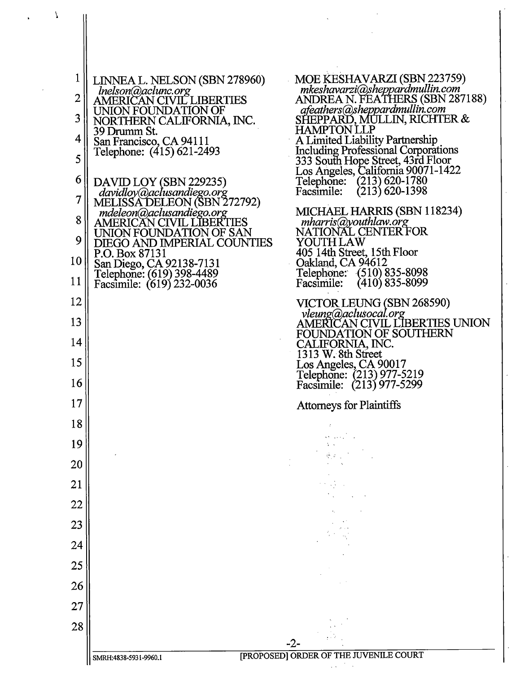| 1              | LINNEA L. NELSON (SBN 278960)                               | MOE KESHAVARZI (SBN 223759)                                                   |  |  |
|----------------|-------------------------------------------------------------|-------------------------------------------------------------------------------|--|--|
| $\overline{2}$ | Inelson@aclunc.org<br>AMERICAN CIVIL LIBERTIES              | mkeshavarzi@sheppardmullin.com<br>ANDREA N. FEATHERS (SBN 287188)             |  |  |
| 3              | UNION FOUNDATION OF                                         | afeathers@sheppardmullin.com<br>SHEPPARD, MULLIN, RICHTER &                   |  |  |
|                | NORTHERN CALIFORNIA, INC.<br>39 Drumm St.                   | <b>HAMPTON LLP</b>                                                            |  |  |
| 4              | San Francisco, CA 94111<br>Telephone: (415) 621-2493        | A Limited Liability Partnership<br><b>Including Professional Corporations</b> |  |  |
| 5              |                                                             | 333 South Hope Street, 43rd Floor<br>Los Angeles, California 90071-1422       |  |  |
| 6              | DAVID LOY (SBN 229235)                                      | Telephone: (213) 620-1780<br>$(213)$ 620-1398<br>Facsimile:                   |  |  |
| 7              | davidloy@aclusandiego.org<br>MELISSA DELEON (SBN 272792)    |                                                                               |  |  |
| 8              | mdeleon@aclusandiego.org<br><b>AMERICAN CIVIL LIBERTIES</b> | MICHAEL HARRIS (SBN 118234)<br>mharris@youthlaw.org                           |  |  |
| 9              | UNION FOUNDATION OF SAN<br>DIEGO AND IMPERIAL COUNTIES      | NATIONAL CENTER FOR<br>YOUTHLAW                                               |  |  |
| 10             | P.O. Box 87131<br>San Diego, CA 92138-7131                  | 405 14th Street, 15th Floor<br>Oakland, CA 94612                              |  |  |
| 11             | Lelephone: (619) 398-4489<br>Facsimile: (619) 232-0036      | Telephone: (510) 835-8098<br>$(410)$ 835-8099<br>Facsimile:                   |  |  |
| 12             |                                                             | VICTOR LEUNG (SBN 268590)                                                     |  |  |
| 13             |                                                             | vleung@aclusocal.org<br>AMERICAN CIVIL LIBERTIES UNION                        |  |  |
| 14             |                                                             | FOUNDATION OF SOUTHERN<br>CALIFORNIA, INC.                                    |  |  |
| 15             |                                                             | 1313 W. 8th Street<br>Los Angeles, CA 90017                                   |  |  |
| 16             |                                                             | Telephone: (213) 977-5219<br>Facsimile: (213) 977-5299                        |  |  |
| 17             |                                                             | <b>Attorneys for Plaintiffs</b>                                               |  |  |
| 18             |                                                             |                                                                               |  |  |
| 19             |                                                             |                                                                               |  |  |
| 20             |                                                             |                                                                               |  |  |
| 21             |                                                             |                                                                               |  |  |
| 22             |                                                             |                                                                               |  |  |
| 23             |                                                             |                                                                               |  |  |
| 24             |                                                             |                                                                               |  |  |
|                |                                                             |                                                                               |  |  |
| 25             |                                                             |                                                                               |  |  |
| 26             |                                                             |                                                                               |  |  |
| 27             |                                                             |                                                                               |  |  |
| 28             |                                                             |                                                                               |  |  |
|                | SMRH:4838-5931-9960.1                                       | [PROPOSED] ORDER OF THE JUVENILE COURT                                        |  |  |
|                |                                                             |                                                                               |  |  |

 $\label{eq:2} T_{\rm{eff}} = \frac{1}{\sqrt{2\pi}} \int d^3x \, dx$ 

 $\sim 60\%$ 

 $\label{eq:2.1} \frac{1}{\sqrt{2\pi}}\int_{0}^{\infty}\frac{1}{\sqrt{2\pi}}\left(\frac{1}{\sqrt{2\pi}}\right)^{2\alpha} \frac{1}{\sqrt{2\pi}}\frac{1}{\sqrt{2\pi}}\frac{1}{\sqrt{2\pi}}\frac{1}{\sqrt{2\pi}}\frac{1}{\sqrt{2\pi}}\frac{1}{\sqrt{2\pi}}\frac{1}{\sqrt{2\pi}}\frac{1}{\sqrt{2\pi}}\frac{1}{\sqrt{2\pi}}\frac{1}{\sqrt{2\pi}}\frac{1}{\sqrt{2\pi}}\frac{1}{\sqrt{2\pi}}\frac{1}{\sqrt{2\pi}}$ 

l,

 $\hat{\boldsymbol{\cdot} }$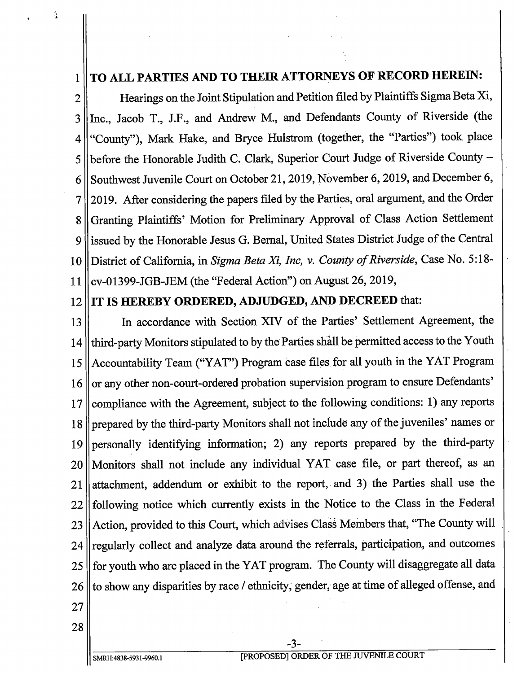## 1 TO ALL PARTIES AND TO THEIR ATTORNEYS OF RECORD HEREIN:

2 || Hearings on the Joint Stipulation and Petition filed by Plaintiffs Sigma Beta Xi, 3 || Inc., Jacob T., J.F., and Andrew M., and Defendants County of Riverside (the 4 "County"), Mark Hake, and Bryce Hulstrom (together, the "Parties") took place  $5$  | before the Honorable Judith C. Clark, Superior Court Judge of Riverside County -6 Southwest Juvenile Court on October 21, 2019, November 6, 2019, and December 6, 7 2019. After considering the papers filed by the Parties, oral argument, and the Order 8 Granting Plaintiffs' Motion for Preliminary Approval of Class Action Settlement 9 lissued by the Honorable Jesus G. Bernal, United States District Judge of the Central 10 || District of California, in Sigma Beta Xi, Inc, v. County of Riverside, Case No. 5:18-11 || cv-01399-JGB-JEM (the "Federal Action") on August 26, 2019,

Λ

## 12 IT IS HEREBY ORDERED, ADJUDGED, AND DECREED that:

<sup>13</sup> In accordance with Section XIV of the Parties' Settlement Agreement, the 14 || third-party Monitors stipulated to by the Parties shall be permitted access to the Youth <sup>15</sup> Accountability Team (" YAT") Program case files for all youth in the YAT Program 16 or any other non-court-ordered probation supervision program to ensure Defendants' 17 || compliance with the Agreement, subject to the following conditions: 1) any reports 18 || prepared by the third-party Monitors shall not include any of the juveniles' names or 19 || personally identifying information; 2) any reports prepared by the third-party <sup>20</sup> Monitors shall not include any individual YAT case file, or part thereof, as an 21 || attachment, addendum or exhibit to the report, and 3) the Parties shall use the 22 || following notice which currently exists in the Notice to the Class in the Federal 23 | Action, provided to this Court, which advises Class Members that, "The County will 24 || regularly collect and analyze data around the referrals, participation, and outcomes 25 || for youth who are placed in the YAT program. The County will disaggregate all data 26 || to show any disparities by race / ethnicity, gender, age at time of alleged offense, and

- 27
- 28

3-